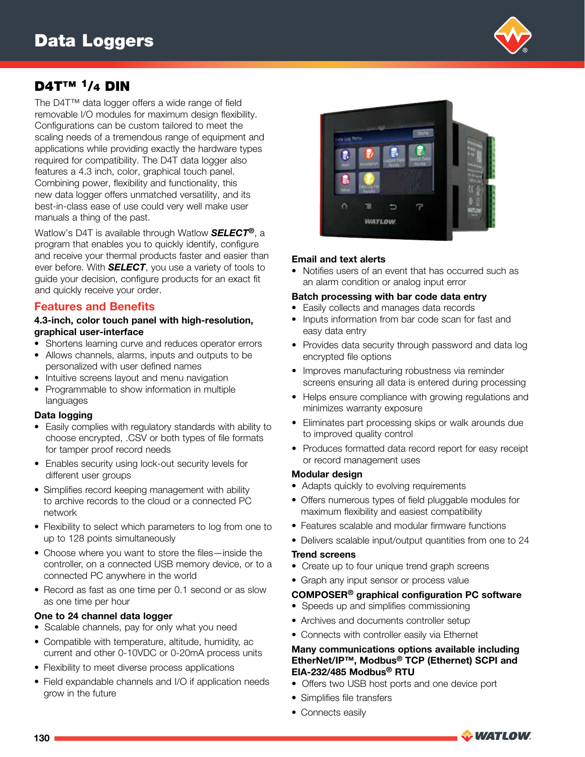## D4T<sup>™</sup> <sup>1</sup>/<sub>4</sub> DIN

The D4T™ data logger offers a wide range of field removable I/O modules for maximum design flexibility. Configurations can be custom tailored to meet the scaling needs of a tremendous range of equipment and applications while providing exactly the hardware types required for compatibility. The D4T data logger also features a 4.3 inch, color, graphical touch panel. Combining power, flexibility and functionality, this new data logger offers unmatched versatility, and its best-in-class ease of use could very well make user manuals a thing of the past.

Watlow's D4T is available through Watlow *SELECT®*, a program that enables you to quickly identify, configure and receive your thermal products faster and easier than ever before. With *SELECT*, you use a variety of tools to guide your decision, configure products for an exact fit and quickly receive your order.

## Features and Benefits

#### 4.3-inch, color touch panel with high-resolution, graphical user-interface

- Shortens learning curve and reduces operator errors
- Allows channels, alarms, inputs and outputs to be personalized with user defined names
- Intuitive screens layout and menu navigation
- Programmable to show information in multiple languages

## Data logging

- Easily complies with regulatory standards with ability to choose encrypted, .CSV or both types of file formats for tamper proof record needs
- Enables security using lock-out security levels for different user groups
- Simplifies record keeping management with ability to archive records to the cloud or a connected PC network
- Flexibility to select which parameters to log from one to up to 128 points simultaneously
- Choose where you want to store the files—inside the controller, on a connected USB memory device, or to a connected PC anywhere in the world
- Record as fast as one time per 0.1 second or as slow as one time per hour

## One to 24 channel data logger

- Scalable channels, pay for only what you need
- Compatible with temperature, altitude, humidity, ac current and other 0-10VDC or 0-20mA process units
- Flexibility to meet diverse process applications
- Field expandable channels and I/O if application needs grow in the future



## Email and text alerts

• Notifies users of an event that has occurred such as an alarm condition or analog input error

#### Batch processing with bar code data entry

- Easily collects and manages data records
- Inputs information from bar code scan for fast and easy data entry
- Provides data security through password and data log encrypted file options
- Improves manufacturing robustness via reminder screens ensuring all data is entered during processing
- Helps ensure compliance with growing regulations and minimizes warranty exposure
- Eliminates part processing skips or walk arounds due to improved quality control
- Produces formatted data record report for easy receipt or record management uses

## Modular design

- Adapts quickly to evolving requirements
- Offers numerous types of field pluggable modules for maximum flexibility and easiest compatibility
- Features scalable and modular firmware functions
- Delivers scalable input/output quantities from one to 24

#### Trend screens

- Create up to four unique trend graph screens
- Graph any input sensor or process value

## COMPOSER® graphical configuration PC software

- Speeds up and simplifies commissioning
- Archives and documents controller setup
- Connects with controller easily via Ethernet

#### Many communications options available including EtherNet/IP™, Modbus® TCP (Ethernet) SCPI and EIA-232/485 Modbus® RTU

- Offers two USB host ports and one device port
- Simplifies file transfers
- Connects easily



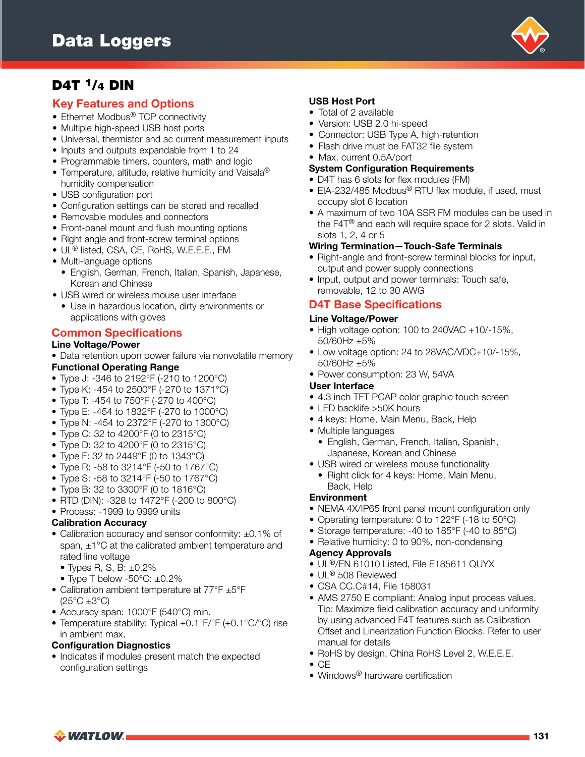

## Key Features and Options

- Ethernet Modbus<sup>®</sup> TCP connectivity
- Multiple high-speed USB host ports
- Universal, thermistor and ac current measurement inputs
- Inputs and outputs expandable from 1 to 24
- Programmable timers, counters, math and logic
- Temperature, altitude, relative humidity and Vaisala® humidity compensation
- USB configuration port
- Configuration settings can be stored and recalled
- Removable modules and connectors
- Front-panel mount and flush mounting options
- Right angle and front-screw terminal options
- UL® listed, CSA, CE, RoHS, W.E.E.E., FM
- Multi-language options
	- English, German, French, Italian, Spanish, Japanese, Korean and Chinese
- USB wired or wireless mouse user interface
	- Use in hazardous location, dirty environments or applications with gloves

## Common Specifications

#### Line Voltage/Power

• Data retention upon power failure via nonvolatile memory Functional Operating Range

- Type J: -346 to 2192°F (-210 to 1200°C)
- Type K: -454 to 2500°F (-270 to 1371°C)
- Type T: -454 to 750°F (-270 to 400°C)
- Type E: -454 to 1832°F (-270 to 1000°C)
- Type N: -454 to 2372°F (-270 to 1300°C)
- Type C: 32 to 4200°F (0 to 2315°C)
- Type D: 32 to 4200°F (0 to 2315°C)
- Type F: 32 to 2449°F (0 to 1343°C)
- Type R: -58 to 3214°F (-50 to 1767°C)
- Type S: -58 to 3214°F (-50 to 1767°C)
- Type B: 32 to 3300°F (0 to 1816°C)
- RTD (DIN): -328 to 1472°F (-200 to 800°C)
- Process: -1999 to 9999 units

## Calibration Accuracy

- Calibration accuracy and sensor conformity: ±0.1% of span, ±1°C at the calibrated ambient temperature and rated line voltage
	- $\bullet$  Types R, S, B:  $\pm 0.2\%$
	- Type T below -50°C: ±0.2%
- Calibration ambient temperature at 77°F ±5°F
- $(25^{\circ}C \pm 3^{\circ}C)$ • Accuracy span: 1000°F (540°C) min.
- Temperature stability: Typical ±0.1°F/°F (±0.1°C/°C) rise in ambient max.

## Configuration Diagnostics

• Indicates if modules present match the expected configuration settings

## USB Host Port

- Total of 2 available
- Version: USB 2.0 hi-speed
- Connector: USB Type A, high-retention
- Flash drive must be FAT32 file system
- Max. current 0.5A/port
- System Configuration Requirements
- D4T has 6 slots for flex modules (FM)
- EIA-232/485 Modbus<sup>®</sup> RTU flex module, if used, must occupy slot 6 location
- A maximum of two 10A SSR FM modules can be used in the F4T® and each will require space for 2 slots. Valid in slots 1, 2, 4 or 5

#### Wiring Termination—Touch-Safe Terminals

- Right-angle and front-screw terminal blocks for input, output and power supply connections
- Input, output and power terminals: Touch safe, removable, 12 to 30 AWG

## D4T Base Specifications

#### Line Voltage/Power

- High voltage option: 100 to 240VAC +10/-15%, 50/60Hz ±5%
- Low voltage option: 24 to 28VAC/VDC+10/-15%, 50/60Hz ±5%
- Power consumption: 23 W, 54VA

#### User Interface

- 4.3 inch TFT PCAP color graphic touch screen
- LED backlife > 50K hours
- 4 keys: Home, Main Menu, Back, Help
- Multiple languages
	- English, German, French, Italian, Spanish, Japanese, Korean and Chinese
- USB wired or wireless mouse functionality
	- Right click for 4 keys: Home, Main Menu, Back, Help

#### Environment

- NEMA 4X/IP65 front panel mount configuration only
- Operating temperature: 0 to 122°F (-18 to 50°C)
- Storage temperature: -40 to 185°F (-40 to 85°C)
- Relative humidity: 0 to 90%, non-condensing

#### Agency Approvals

- UL®/EN 61010 Listed, File E185611 QUYX
- UL<sup>®</sup> 508 Reviewed
- CSA CC.C#14, File 158031
- AMS 2750 E compliant: Analog input process values. Tip: Maximize field calibration accuracy and uniformity by using advanced F4T features such as Calibration Offset and Linearization Function Blocks. Refer to user manual for details
- RoHS by design, China RoHS Level 2, W.E.E.E.
- $\bullet$  CE
- Windows<sup>®</sup> hardware certification

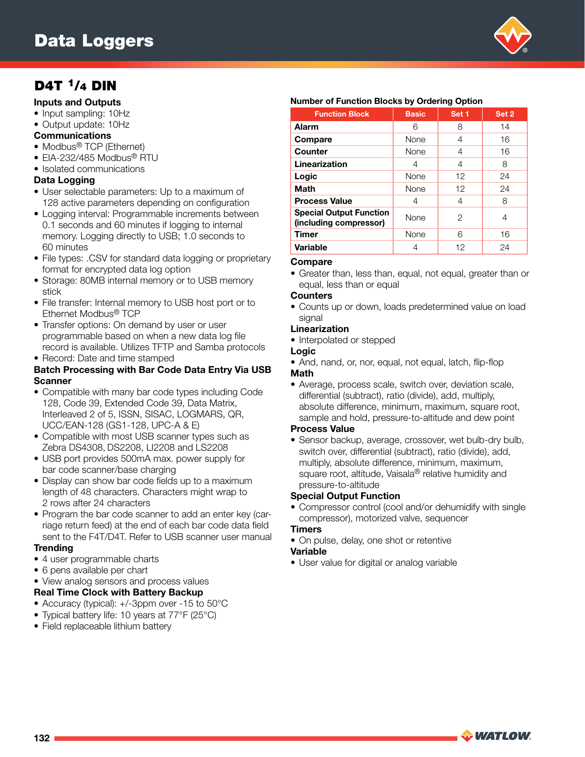

## Inputs and Outputs

- Input sampling: 10Hz
- Output update: 10Hz

## **Communications**

- Modbus<sup>®</sup> TCP (Ethernet)
- EIA-232/485 Modbus® RTU
- Isolated communications

## Data Logging

- User selectable parameters: Up to a maximum of 128 active parameters depending on configuration
- Logging interval: Programmable increments between 0.1 seconds and 60 minutes if logging to internal memory. Logging directly to USB; 1.0 seconds to 60 minutes
- File types: .CSV for standard data logging or proprietary format for encrypted data log option
- Storage: 80MB internal memory or to USB memory stick
- File transfer: Internal memory to USB host port or to Ethernet Modbus® TCP
- Transfer options: On demand by user or user programmable based on when a new data log file record is available. Utilizes TFTP and Samba protocols
- Record: Date and time stamped

#### Batch Processing with Bar Code Data Entry Via USB Scanner

- Compatible with many bar code types including Code 128, Code 39, Extended Code 39, Data Matrix, Interleaved 2 of 5, ISSN, SISAC, LOGMARS, QR, UCC/EAN-128 (GS1-128, UPC-A & E)
- Compatible with most USB scanner types such as Zebra DS4308, DS2208, LI2208 and LS2208
- USB port provides 500mA max. power supply for bar code scanner/base charging
- Display can show bar code fields up to a maximum length of 48 characters. Characters might wrap to 2 rows after 24 characters
- Program the bar code scanner to add an enter key (carriage return feed) at the end of each bar code data field sent to the F4T/D4T. Refer to USB scanner user manual **Trending**
- 4 user programmable charts
- 6 pens available per chart
- View analog sensors and process values

#### Real Time Clock with Battery Backup

- Accuracy (typical): +/-3ppm over -15 to 50°C
- Typical battery life: 10 years at 77°F (25°C)
- Field replaceable lithium battery

#### Number of Function Blocks by Ordering Option

| <b>Function Block</b>                                    | <b>Basic</b> | Set 1 | Set 2 |
|----------------------------------------------------------|--------------|-------|-------|
| Alarm                                                    | 6            | 8     | 14    |
| Compare                                                  | None         | 4     | 16    |
| Counter                                                  | None         | 4     | 16    |
| Linearization                                            | 4            | 4     | 8     |
| Logic                                                    | None         | 12    | 24    |
| <b>Math</b>                                              | <b>None</b>  | 12    | 24    |
| <b>Process Value</b>                                     | 4            | 4     | 8     |
| <b>Special Output Function</b><br>(including compressor) | None         | 2     | 4     |
| <b>Timer</b>                                             | None         | 6     | 16    |
| <b>Variable</b>                                          |              | 12    | 24    |

#### Compare

• Greater than, less than, equal, not equal, greater than or equal, less than or equal

#### **Counters**

• Counts up or down, loads predetermined value on load signal

#### **Linearization**

• Interpolated or stepped

## Logic

• And, nand, or, nor, equal, not equal, latch, flip-flop

#### Math

• Average, process scale, switch over, deviation scale, differential (subtract), ratio (divide), add, multiply, absolute difference, minimum, maximum, square root, sample and hold, pressure-to-altitude and dew point

## Process Value

• Sensor backup, average, crossover, wet bulb-dry bulb, switch over, differential (subtract), ratio (divide), add, multiply, absolute difference, minimum, maximum, square root, altitude, Vaisala® relative humidity and pressure-to-altitude

## Special Output Function

• Compressor control (cool and/or dehumidify with single compressor), motorized valve, sequencer

## **Timers**

• On pulse, delay, one shot or retentive

## Variable

• User value for digital or analog variable

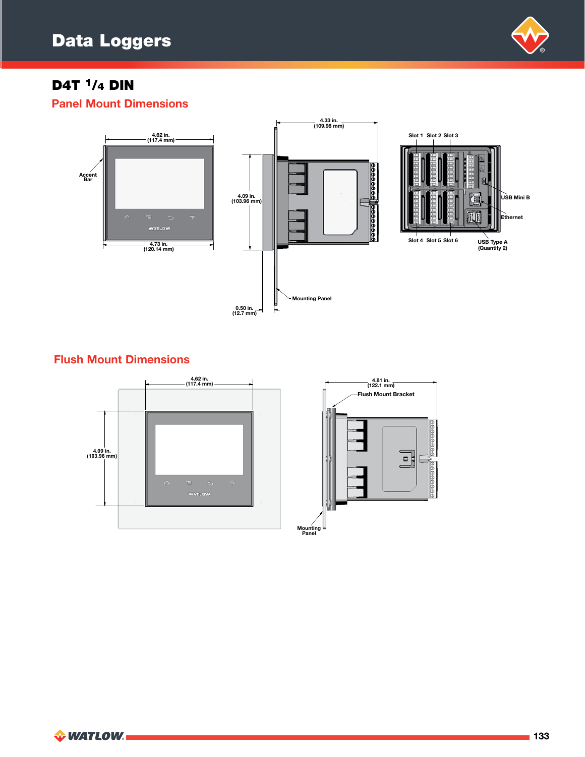

Panel Mount Dimensions



## Flush Mount Dimensions

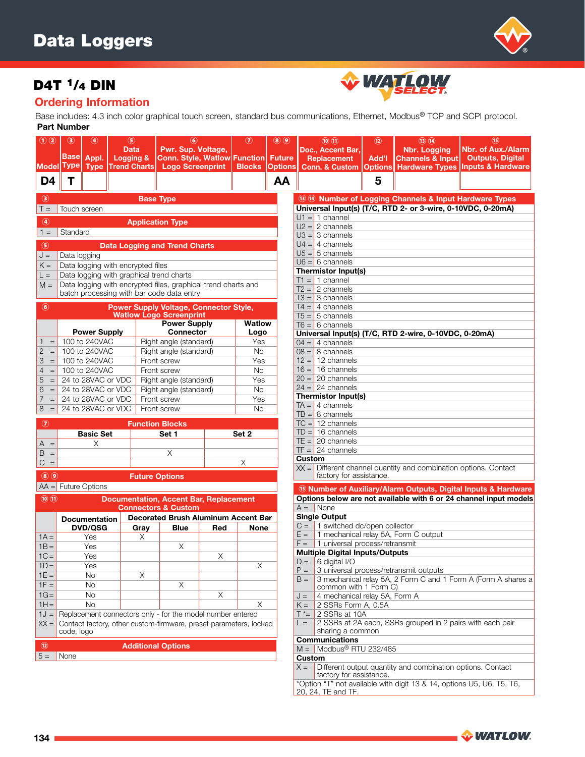

## Ordering Information

Part Number Base includes: 4.3 inch color graphical touch screen, standard bus communications, Ethernet, Modbus® TCP and SCPI protocol.

WATLOW

|                                                      | שווושרו אום ו                                                                                    |                                           |                                                                   |                                      |                                                                                           |       |                                               |                                           |                                                                                        |                                                                                                |                                        |                                                                                              |                                                                                       |  |  |
|------------------------------------------------------|--------------------------------------------------------------------------------------------------|-------------------------------------------|-------------------------------------------------------------------|--------------------------------------|-------------------------------------------------------------------------------------------|-------|-----------------------------------------------|-------------------------------------------|----------------------------------------------------------------------------------------|------------------------------------------------------------------------------------------------|----------------------------------------|----------------------------------------------------------------------------------------------|---------------------------------------------------------------------------------------|--|--|
| $\odot$ $\odot$<br><b>Model</b>                      | $(3)$<br><b>Base</b><br><b>Type</b>                                                              | $\left( 4\right)$<br>Appl.<br><b>Type</b> | (5)<br><b>Data</b><br><b>Logging &amp;</b><br><b>Trend Charts</b> |                                      | $\bf{(6)}$<br>Pwr. Sup. Voltage,<br><b>Conn. Style, Watlow</b><br><b>Logo Screenprint</b> |       | $\cal{O}$<br><b>Function</b><br><b>Blocks</b> | (3)(9)<br><b>Future</b><br><b>Options</b> |                                                                                        | (10)(1)<br>Doc., Accent Bar,<br>Replacement<br><b>Conn. &amp; Custom</b>                       | (12)<br><b>I'bbA</b><br><b>Options</b> | $(13)$ $(14)$<br><b>Nbr. Logging</b><br><b>Channels &amp; Input</b><br><b>Hardware Types</b> | (15)<br>Nbr. of Aux./Alarm<br><b>Outputs, Digital</b><br><b>Inputs &amp; Hardware</b> |  |  |
| D <sub>4</sub>                                       | Τ                                                                                                |                                           |                                                                   |                                      |                                                                                           |       |                                               | AA                                        |                                                                                        |                                                                                                | 5                                      |                                                                                              |                                                                                       |  |  |
| $\circledcirc$                                       |                                                                                                  |                                           |                                                                   |                                      | <b>Base Type</b>                                                                          |       |                                               |                                           | 13 49 Number of Logging Channels & Input Hardware Types                                |                                                                                                |                                        |                                                                                              |                                                                                       |  |  |
| $T =$                                                | Touch screen                                                                                     |                                           |                                                                   |                                      |                                                                                           |       |                                               |                                           | Universal Input(s) (T/C, RTD 2- or 3-wire, 0-10VDC, 0-20mA)                            |                                                                                                |                                        |                                                                                              |                                                                                       |  |  |
|                                                      |                                                                                                  |                                           |                                                                   |                                      |                                                                                           |       |                                               |                                           | $U1 = 1$ channel                                                                       |                                                                                                |                                        |                                                                                              |                                                                                       |  |  |
| $\circledcirc$                                       |                                                                                                  |                                           |                                                                   |                                      | <b>Application Type</b>                                                                   |       |                                               |                                           | $U2 = 2$ channels                                                                      |                                                                                                |                                        |                                                                                              |                                                                                       |  |  |
| $1 =$                                                | Standard                                                                                         |                                           |                                                                   |                                      |                                                                                           |       |                                               |                                           | $U3 = 3$ channels                                                                      |                                                                                                |                                        |                                                                                              |                                                                                       |  |  |
| $\circledS$                                          |                                                                                                  |                                           |                                                                   |                                      | <b>Data Logging and Trend Charts</b>                                                      |       |                                               |                                           | $U4 = 4$ channels                                                                      |                                                                                                |                                        |                                                                                              |                                                                                       |  |  |
| $J =$                                                | Data logging                                                                                     |                                           |                                                                   |                                      |                                                                                           |       |                                               |                                           | $U5 = 5$ channels                                                                      |                                                                                                |                                        |                                                                                              |                                                                                       |  |  |
| $K =$                                                |                                                                                                  |                                           |                                                                   |                                      |                                                                                           |       |                                               |                                           | $U6 = 6$ channels                                                                      |                                                                                                |                                        |                                                                                              |                                                                                       |  |  |
| $L =$                                                | Data logging with encrypted files<br>Data logging with graphical trend charts                    |                                           |                                                                   |                                      |                                                                                           |       |                                               |                                           | <b>Thermistor Input(s)</b>                                                             |                                                                                                |                                        |                                                                                              |                                                                                       |  |  |
| $M =$                                                | Data logging with encrypted files, graphical trend charts and                                    |                                           |                                                                   |                                      |                                                                                           |       |                                               |                                           | $T1 = 1$ channel                                                                       |                                                                                                |                                        |                                                                                              |                                                                                       |  |  |
|                                                      |                                                                                                  |                                           |                                                                   |                                      | batch processing with bar code data entry                                                 |       |                                               |                                           |                                                                                        | $T2 = 2$ channels                                                                              |                                        |                                                                                              |                                                                                       |  |  |
|                                                      |                                                                                                  |                                           |                                                                   |                                      |                                                                                           |       |                                               |                                           | $T3 = 3$ channels                                                                      |                                                                                                |                                        |                                                                                              |                                                                                       |  |  |
|                                                      | $\circled{6}$<br><b>Power Supply Voltage, Connector Style,</b><br><b>Watlow Logo Screenprint</b> |                                           |                                                                   |                                      |                                                                                           |       |                                               |                                           |                                                                                        | $T4 = 4$ channels<br>$T5 = 5$ channels                                                         |                                        |                                                                                              |                                                                                       |  |  |
|                                                      |                                                                                                  |                                           |                                                                   | <b>Power Supply</b><br><b>Watlow</b> |                                                                                           |       |                                               |                                           | $T6 = 6$ channels                                                                      |                                                                                                |                                        |                                                                                              |                                                                                       |  |  |
|                                                      |                                                                                                  | <b>Power Supply</b>                       |                                                                   |                                      | <b>Connector</b>                                                                          |       | Logo                                          |                                           |                                                                                        |                                                                                                |                                        | Universal Input(s) (T/C, RTD 2-wire, 0-10VDC, 0-20mA)                                        |                                                                                       |  |  |
| $\triangleleft$<br>$=$                               |                                                                                                  | 100 to 240VAC                             |                                                                   |                                      | Right angle (standard)                                                                    |       | Yes                                           |                                           |                                                                                        | $04 = 4$ channels                                                                              |                                        |                                                                                              |                                                                                       |  |  |
| 2 <br>$=$                                            | 100 to 240VAC                                                                                    |                                           |                                                                   |                                      | <b>No</b><br>Right angle (standard)                                                       |       |                                               |                                           |                                                                                        | $08 = 8$ channels                                                                              |                                        |                                                                                              |                                                                                       |  |  |
| 3<br>$=$                                             | 100 to 240VAC<br>Front screw<br>Yes                                                              |                                           |                                                                   |                                      |                                                                                           |       |                                               | $12 = 12$ channels                        |                                                                                        |                                                                                                |                                        |                                                                                              |                                                                                       |  |  |
| 4<br>$=$                                             |                                                                                                  | 100 to 240VAC                             |                                                                   | Front screw<br>No                    |                                                                                           |       |                                               |                                           |                                                                                        | $16 = 16$ channels                                                                             |                                        |                                                                                              |                                                                                       |  |  |
| $\overline{5}$<br>$\, =$                             |                                                                                                  |                                           | 24 to 28VAC or VDC                                                | Right angle (standard)               |                                                                                           |       |                                               |                                           |                                                                                        | $20 = 20$ channels                                                                             |                                        |                                                                                              |                                                                                       |  |  |
| 6<br>$=$                                             |                                                                                                  |                                           | 24 to 28VAC or VDC                                                |                                      | Right angle (standard)                                                                    |       | <b>No</b>                                     |                                           |                                                                                        | $24 = 24$ channels                                                                             |                                        |                                                                                              |                                                                                       |  |  |
| 7<br>$\equiv$                                        |                                                                                                  |                                           | 24 to 28VAC or VDC                                                | Front screw<br>Yes                   |                                                                                           |       |                                               |                                           |                                                                                        | <b>Thermistor Input(s)</b>                                                                     |                                        |                                                                                              |                                                                                       |  |  |
| $8 =$                                                | <b>No</b><br>24 to 28VAC or VDC<br>Front screw                                                   |                                           |                                                                   |                                      |                                                                                           |       | $TA = 4$ channels                             |                                           |                                                                                        |                                                                                                |                                        |                                                                                              |                                                                                       |  |  |
|                                                      |                                                                                                  |                                           |                                                                   |                                      |                                                                                           |       |                                               |                                           |                                                                                        | $TB = 8$ channels<br>$TC = 12$ channels                                                        |                                        |                                                                                              |                                                                                       |  |  |
| $\circledcirc$                                       |                                                                                                  |                                           |                                                                   |                                      | <b>Function Blocks</b>                                                                    |       |                                               |                                           |                                                                                        | $TD = 16$ channels                                                                             |                                        |                                                                                              |                                                                                       |  |  |
|                                                      |                                                                                                  | <b>Basic Set</b>                          |                                                                   |                                      | Set 1                                                                                     | Set 2 |                                               |                                           |                                                                                        | $TE = 20$ channels                                                                             |                                        |                                                                                              |                                                                                       |  |  |
| $A =$                                                |                                                                                                  | X                                         |                                                                   |                                      |                                                                                           |       |                                               |                                           |                                                                                        | $TF = 24$ channels                                                                             |                                        |                                                                                              |                                                                                       |  |  |
| $B =$                                                |                                                                                                  |                                           |                                                                   |                                      | X                                                                                         |       |                                               |                                           | Custom                                                                                 |                                                                                                |                                        |                                                                                              |                                                                                       |  |  |
| $\mathsf{C}$<br>$\equiv$                             |                                                                                                  |                                           |                                                                   |                                      |                                                                                           |       | X                                             |                                           |                                                                                        | $XX =$ Different channel quantity and combination options. Contact                             |                                        |                                                                                              |                                                                                       |  |  |
| (8)(9)                                               |                                                                                                  |                                           |                                                                   |                                      | <b>Future Options</b>                                                                     |       |                                               |                                           |                                                                                        | factory for assistance.                                                                        |                                        |                                                                                              |                                                                                       |  |  |
|                                                      |                                                                                                  | $AA =$ Future Options                     |                                                                   |                                      |                                                                                           |       |                                               |                                           |                                                                                        |                                                                                                |                                        |                                                                                              | ® Number of Auxiliary/Alarm Outputs, Digital Inputs & Hardware                        |  |  |
| $\mathbf{\overline{(10)}}$ $\mathbf{\overline{(1)}}$ |                                                                                                  |                                           |                                                                   |                                      | <b>Documentation, Accent Bar, Replacement</b>                                             |       |                                               |                                           |                                                                                        |                                                                                                |                                        |                                                                                              | Options below are not available with 6 or 24 channel input models                     |  |  |
|                                                      |                                                                                                  |                                           |                                                                   |                                      | <b>Connectors &amp; Custom</b>                                                            |       |                                               |                                           |                                                                                        | $A =  $ None                                                                                   |                                        |                                                                                              |                                                                                       |  |  |
|                                                      |                                                                                                  | <b>Documentation</b>                      |                                                                   |                                      | <b>Decorated Brush Aluminum Accent Bar</b>                                                |       |                                               |                                           |                                                                                        | <b>Single Output</b>                                                                           |                                        |                                                                                              |                                                                                       |  |  |
|                                                      |                                                                                                  | <b>DVD/QSG</b>                            |                                                                   | Gray                                 | <b>Blue</b>                                                                               | Red   | <b>None</b>                                   |                                           | $C =$                                                                                  | 1 switched dc/open collector                                                                   |                                        |                                                                                              |                                                                                       |  |  |
| $1A =$                                               |                                                                                                  | Yes                                       |                                                                   | Χ                                    |                                                                                           |       |                                               |                                           | $E =$                                                                                  |                                                                                                |                                        | 1 mechanical relay 5A, Form C output                                                         |                                                                                       |  |  |
| $1B =$                                               |                                                                                                  | Yes                                       |                                                                   |                                      | X                                                                                         |       |                                               |                                           | $F =$                                                                                  | 1 universal process/retransmit                                                                 |                                        |                                                                                              |                                                                                       |  |  |
| $1C =$                                               |                                                                                                  | Yes                                       |                                                                   |                                      |                                                                                           | Χ     |                                               |                                           |                                                                                        | <b>Multiple Digital Inputs/Outputs</b>                                                         |                                        |                                                                                              |                                                                                       |  |  |
| $1D =$                                               |                                                                                                  | Yes                                       |                                                                   |                                      |                                                                                           |       | Χ                                             |                                           | $D =$<br>$P =$                                                                         | 6 digital I/O                                                                                  |                                        | 3 universal process/retransmit outputs                                                       |                                                                                       |  |  |
| $1E =$                                               |                                                                                                  | <b>No</b>                                 |                                                                   | Χ                                    |                                                                                           |       |                                               |                                           | $B =$                                                                                  |                                                                                                |                                        |                                                                                              | 3 mechanical relay 5A, 2 Form C and 1 Form A (Form A shares a                         |  |  |
| $1F =$                                               |                                                                                                  | No                                        |                                                                   |                                      | Χ                                                                                         |       |                                               |                                           |                                                                                        | common with 1 Form C)                                                                          |                                        |                                                                                              |                                                                                       |  |  |
| $1G =$                                               |                                                                                                  | <b>No</b>                                 |                                                                   |                                      |                                                                                           | X     |                                               |                                           | J =                                                                                    | 4 mechanical relay 5A, Form A                                                                  |                                        |                                                                                              |                                                                                       |  |  |
| $1H =$                                               |                                                                                                  | <b>No</b>                                 |                                                                   |                                      |                                                                                           |       | Χ                                             |                                           | $K =$                                                                                  | 2 SSRs Form A, 0.5A                                                                            |                                        |                                                                                              |                                                                                       |  |  |
| $1J =$                                               | Replacement connectors only - for the model number entered                                       |                                           |                                                                   |                                      |                                                                                           |       |                                               |                                           | T *=                                                                                   | 2 SSRs at 10A                                                                                  |                                        |                                                                                              |                                                                                       |  |  |
| $XX =$                                               | Contact factory, other custom-firmware, preset parameters, locked<br>code, logo                  |                                           |                                                                   |                                      |                                                                                           |       |                                               |                                           | 2 SSRs at 2A each, SSRs grouped in 2 pairs with each pair<br>$L =$<br>sharing a common |                                                                                                |                                        |                                                                                              |                                                                                       |  |  |
|                                                      | <b>Communications</b><br><b>Additional Options</b>                                               |                                           |                                                                   |                                      |                                                                                           |       |                                               |                                           |                                                                                        |                                                                                                |                                        |                                                                                              |                                                                                       |  |  |
| $\circledR$<br>$5 =$                                 | None                                                                                             |                                           |                                                                   |                                      |                                                                                           |       |                                               |                                           |                                                                                        | $M =$ Modbus <sup>®</sup> RTU 232/485                                                          |                                        |                                                                                              |                                                                                       |  |  |
|                                                      |                                                                                                  |                                           |                                                                   |                                      |                                                                                           |       |                                               |                                           | <b>Custom</b>                                                                          |                                                                                                |                                        |                                                                                              |                                                                                       |  |  |
|                                                      |                                                                                                  |                                           |                                                                   |                                      |                                                                                           |       |                                               |                                           |                                                                                        | $X =$<br>Different output quantity and combination options. Contact<br>factory for assistance. |                                        |                                                                                              |                                                                                       |  |  |

\*Option "T" not available with digit 13 & 14, options U5, U6, T5, T6, 20, 24, TE and TF.

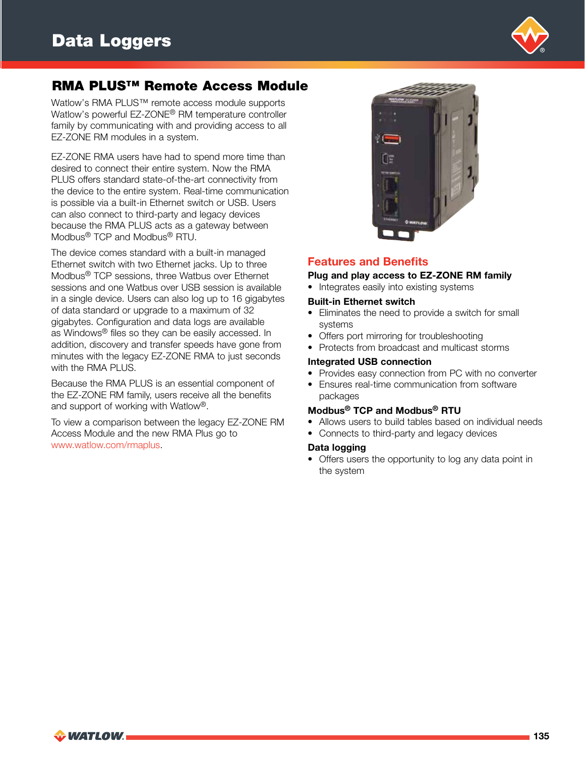

## RMA PLUS™ Remote Access Module

Watlow's RMA PLUS™ remote access module supports Watlow's powerful EZ-ZONE® RM temperature controller family by communicating with and providing access to all EZ-ZONE RM modules in a system.

EZ-ZONE RMA users have had to spend more time than desired to connect their entire system. Now the RMA PLUS offers standard state-of-the-art connectivity from the device to the entire system. Real-time communication is possible via a built-in Ethernet switch or USB. Users can also connect to third-party and legacy devices because the RMA PLUS acts as a gateway between Modbus® TCP and Modbus® RTU.

The device comes standard with a built-in managed Ethernet switch with two Ethernet jacks. Up to three Modbus® TCP sessions, three Watbus over Ethernet sessions and one Watbus over USB session is available in a single device. Users can also log up to 16 gigabytes of data standard or upgrade to a maximum of 32 gigabytes. Configuration and data logs are available as Windows® files so they can be easily accessed. In addition, discovery and transfer speeds have gone from minutes with the legacy EZ-ZONE RMA to just seconds with the RMA PLUS.

Because the RMA PLUS is an essential component of the EZ-ZONE RM family, users receive all the benefits and support of working with Watlow®.

To view a comparison between the legacy EZ-ZONE RM Access Module and the new RMA Plus go to www.watlow.com/rmaplus.



## Features and Benefits

#### Plug and play access to EZ-ZONE RM family

• Integrates easily into existing systems

#### Built-in Ethernet switch

- Eliminates the need to provide a switch for small systems
- Offers port mirroring for troubleshooting
- Protects from broadcast and multicast storms

#### Integrated USB connection

- Provides easy connection from PC with no converter
- Ensures real-time communication from software packages

## Modbus® TCP and Modbus® RTU

- Allows users to build tables based on individual needs
- Connects to third-party and legacy devices

#### Data logging

• Offers users the opportunity to log any data point in the system

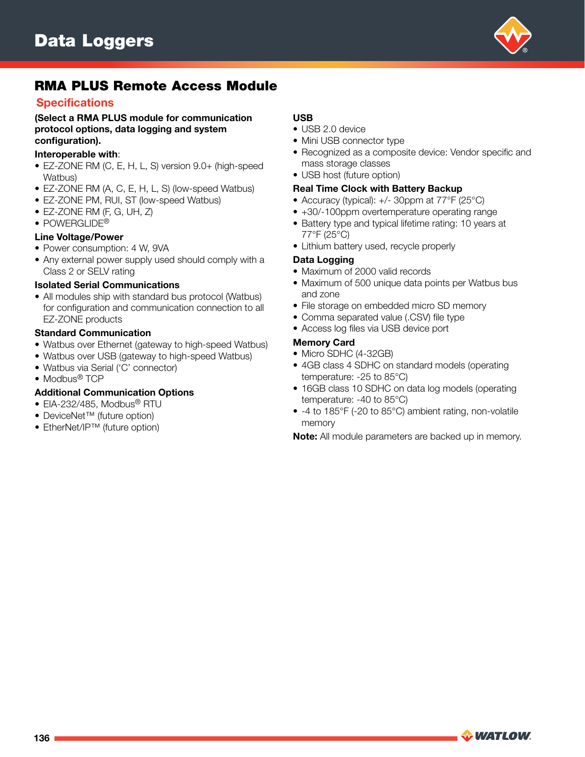

## RMA PLUS Remote Access Module

## **Specifications**

(Select a RMA PLUS module for communication protocol options, data logging and system configuration).

#### Interoperable with:

- EZ-ZONE RM (C, E, H, L, S) version 9.0+ (high-speed Watbus)
- EZ-ZONE RM (A, C, E, H, L, S) (low-speed Watbus)
- EZ-ZONE PM, RUI, ST (low-speed Watbus)
- EZ-ZONE RM (F, G, UH, Z)
- POWERGLIDE<sup>®</sup>

## Line Voltage/Power

- Power consumption: 4 W, 9VA
- Any external power supply used should comply with a Class 2 or SELV rating

#### Isolated Serial Communications

• All modules ship with standard bus protocol (Watbus) for configuration and communication connection to all EZ-ZONE products

## Standard Communication

- Watbus over Ethernet (gateway to high-speed Watbus)
- Watbus over USB (gateway to high-speed Watbus)
- Watbus via Serial ('C' connector)
- Modbus<sup>®</sup> TCP

## Additional Communication Options

- EIA-232/485, Modbus® RTU
- DeviceNet™ (future option)
- EtherNet/IP™ (future option)

## USB

- USB 2.0 device
- Mini USB connector type
- Recognized as a composite device: Vendor specific and mass storage classes
- USB host (future option)

#### Real Time Clock with Battery Backup

- Accuracy (typical): +/- 30ppm at 77°F (25°C)
- +30/-100ppm overtemperature operating range
- Battery type and typical lifetime rating: 10 years at 77°F (25°C)
- Lithium battery used, recycle properly

#### Data Logging

- Maximum of 2000 valid records
- Maximum of 500 unique data points per Watbus bus and zone
- File storage on embedded micro SD memory
- Comma separated value (.CSV) file type
- Access log files via USB device port

#### Memory Card

- Micro SDHC (4-32GB)
- 4GB class 4 SDHC on standard models (operating temperature: -25 to 85°C)
- 16GB class 10 SDHC on data log models (operating temperature: -40 to 85°C)
- -4 to 185°F (-20 to 85°C) ambient rating, non-volatile memory

Note: All module parameters are backed up in memory.